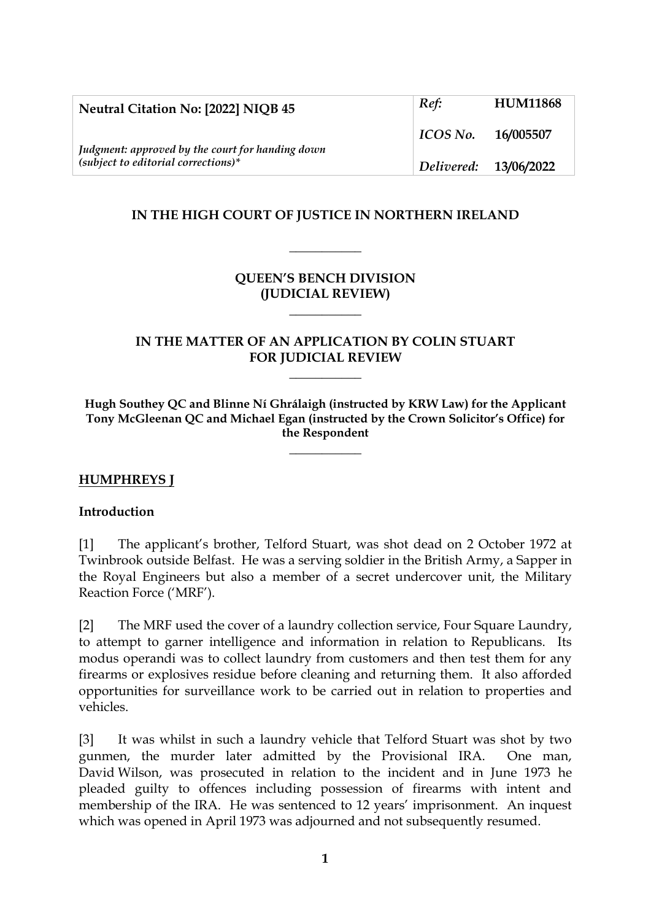| Neutral Citation No: [2022] NIQB 45                                                       | Ref:                  | <b>HUM11868</b> |
|-------------------------------------------------------------------------------------------|-----------------------|-----------------|
| Judgment: approved by the court for handing down<br>$(subject to editorial corrections)*$ | $\perp$ ICOS No.      | 16/005507       |
|                                                                                           | Delivered: 13/06/2022 |                 |

## **IN THE HIGH COURT OF JUSTICE IN NORTHERN IRELAND**

**\_\_\_\_\_\_\_\_\_\_\_**

## **QUEEN'S BENCH DIVISION (JUDICIAL REVIEW)**

**\_\_\_\_\_\_\_\_\_\_\_**

### **IN THE MATTER OF AN APPLICATION BY COLIN STUART FOR JUDICIAL REVIEW**

**\_\_\_\_\_\_\_\_\_\_\_**

**Hugh Southey QC and Blinne Ní Ghrálaigh (instructed by KRW Law) for the Applicant Tony McGleenan QC and Michael Egan (instructed by the Crown Solicitor's Office) for the Respondent**

**\_\_\_\_\_\_\_\_\_\_\_**

#### **HUMPHREYS J**

#### **Introduction**

[1] The applicant's brother, Telford Stuart, was shot dead on 2 October 1972 at Twinbrook outside Belfast. He was a serving soldier in the British Army, a Sapper in the Royal Engineers but also a member of a secret undercover unit, the Military Reaction Force ('MRF').

[2] The MRF used the cover of a laundry collection service, Four Square Laundry, to attempt to garner intelligence and information in relation to Republicans. Its modus operandi was to collect laundry from customers and then test them for any firearms or explosives residue before cleaning and returning them. It also afforded opportunities for surveillance work to be carried out in relation to properties and vehicles.

[3] It was whilst in such a laundry vehicle that Telford Stuart was shot by two gunmen, the murder later admitted by the Provisional IRA. One man, David Wilson, was prosecuted in relation to the incident and in June 1973 he pleaded guilty to offences including possession of firearms with intent and membership of the IRA. He was sentenced to 12 years' imprisonment. An inquest which was opened in April 1973 was adjourned and not subsequently resumed.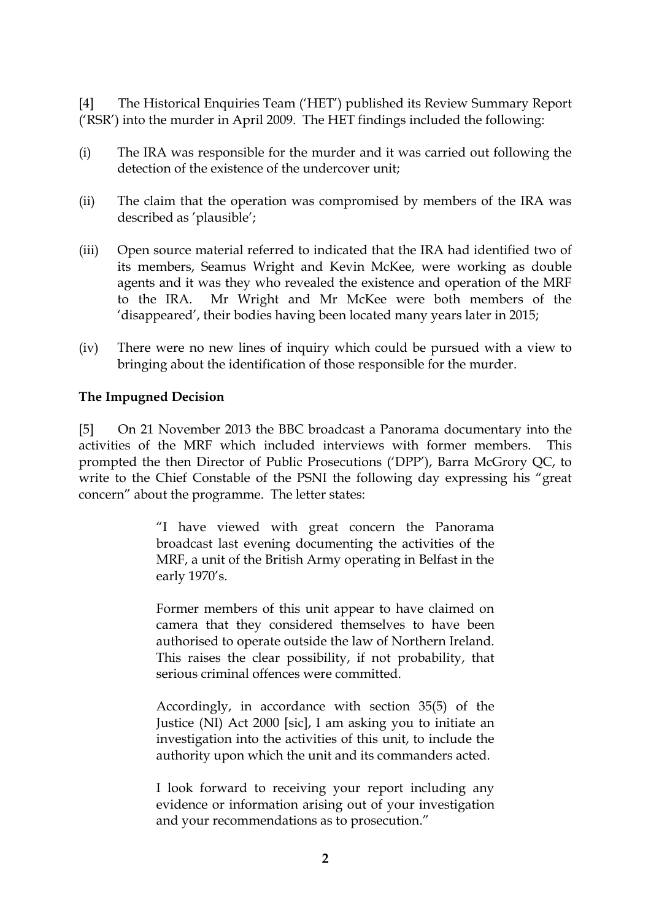[4] The Historical Enquiries Team ('HET') published its Review Summary Report ('RSR') into the murder in April 2009. The HET findings included the following:

- (i) The IRA was responsible for the murder and it was carried out following the detection of the existence of the undercover unit;
- (ii) The claim that the operation was compromised by members of the IRA was described as 'plausible';
- (iii) Open source material referred to indicated that the IRA had identified two of its members, Seamus Wright and Kevin McKee, were working as double agents and it was they who revealed the existence and operation of the MRF to the IRA. Mr Wright and Mr McKee were both members of the 'disappeared', their bodies having been located many years later in 2015;
- (iv) There were no new lines of inquiry which could be pursued with a view to bringing about the identification of those responsible for the murder.

#### **The Impugned Decision**

[5] On 21 November 2013 the BBC broadcast a Panorama documentary into the activities of the MRF which included interviews with former members. This prompted the then Director of Public Prosecutions ('DPP'), Barra McGrory QC, to write to the Chief Constable of the PSNI the following day expressing his "great concern" about the programme. The letter states:

> "I have viewed with great concern the Panorama broadcast last evening documenting the activities of the MRF, a unit of the British Army operating in Belfast in the early 1970's.

> Former members of this unit appear to have claimed on camera that they considered themselves to have been authorised to operate outside the law of Northern Ireland. This raises the clear possibility, if not probability, that serious criminal offences were committed.

> Accordingly, in accordance with section 35(5) of the Justice (NI) Act 2000 [sic], I am asking you to initiate an investigation into the activities of this unit, to include the authority upon which the unit and its commanders acted.

> I look forward to receiving your report including any evidence or information arising out of your investigation and your recommendations as to prosecution."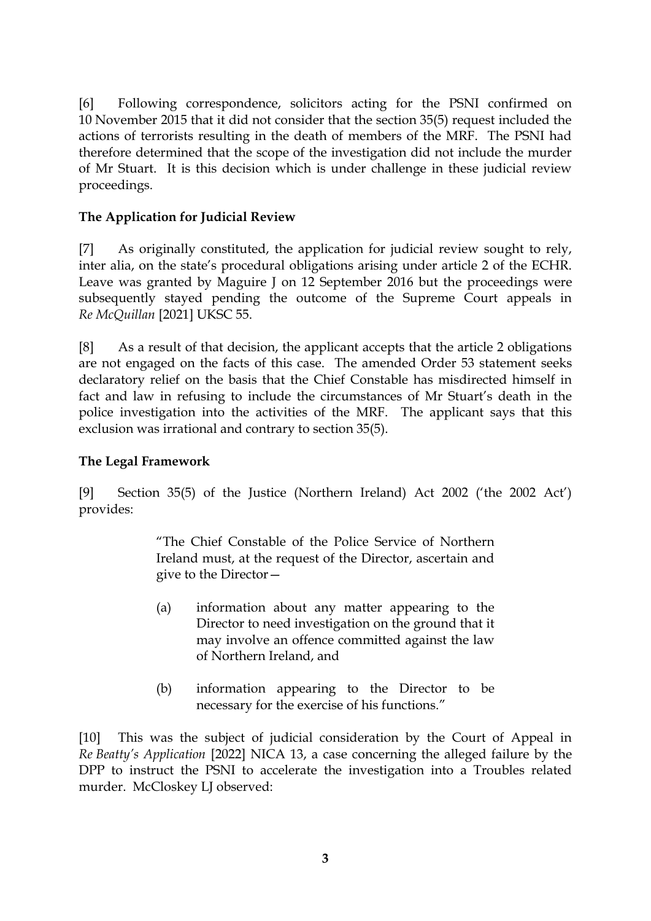[6] Following correspondence, solicitors acting for the PSNI confirmed on 10 November 2015 that it did not consider that the section 35(5) request included the actions of terrorists resulting in the death of members of the MRF. The PSNI had therefore determined that the scope of the investigation did not include the murder of Mr Stuart. It is this decision which is under challenge in these judicial review proceedings.

## **The Application for Judicial Review**

[7] As originally constituted, the application for judicial review sought to rely, inter alia, on the state's procedural obligations arising under article 2 of the ECHR. Leave was granted by Maguire J on 12 September 2016 but the proceedings were subsequently stayed pending the outcome of the Supreme Court appeals in *Re McQuillan* [2021] UKSC 55.

[8] As a result of that decision, the applicant accepts that the article 2 obligations are not engaged on the facts of this case. The amended Order 53 statement seeks declaratory relief on the basis that the Chief Constable has misdirected himself in fact and law in refusing to include the circumstances of Mr Stuart's death in the police investigation into the activities of the MRF. The applicant says that this exclusion was irrational and contrary to section 35(5).

### **The Legal Framework**

[9] Section 35(5) of the Justice (Northern Ireland) Act 2002 ('the 2002 Act') provides:

> "The Chief Constable of the Police Service of Northern Ireland must, at the request of the Director, ascertain and give to the Director—

- (a) information about any matter appearing to the Director to need investigation on the ground that it may involve an offence committed against the law of Northern Ireland, and
- (b) information appearing to the Director to be necessary for the exercise of his functions."

[10] This was the subject of judicial consideration by the Court of Appeal in *Re Beatty's Application* [2022] NICA 13, a case concerning the alleged failure by the DPP to instruct the PSNI to accelerate the investigation into a Troubles related murder. McCloskey LJ observed: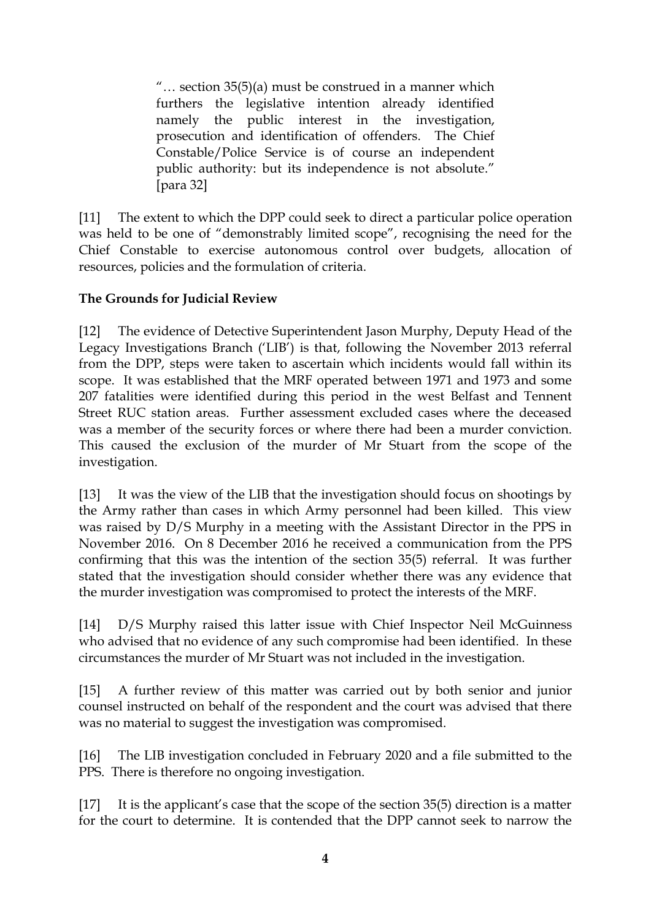"… section 35(5)(a) must be construed in a manner which furthers the legislative intention already identified namely the public interest in the investigation, prosecution and identification of offenders. The Chief Constable/Police Service is of course an independent public authority: but its independence is not absolute." [para 32]

[11] The extent to which the DPP could seek to direct a particular police operation was held to be one of "demonstrably limited scope", recognising the need for the Chief Constable to exercise autonomous control over budgets, allocation of resources, policies and the formulation of criteria.

# **The Grounds for Judicial Review**

[12] The evidence of Detective Superintendent Jason Murphy, Deputy Head of the Legacy Investigations Branch ('LIB') is that, following the November 2013 referral from the DPP, steps were taken to ascertain which incidents would fall within its scope. It was established that the MRF operated between 1971 and 1973 and some 207 fatalities were identified during this period in the west Belfast and Tennent Street RUC station areas. Further assessment excluded cases where the deceased was a member of the security forces or where there had been a murder conviction. This caused the exclusion of the murder of Mr Stuart from the scope of the investigation.

[13] It was the view of the LIB that the investigation should focus on shootings by the Army rather than cases in which Army personnel had been killed. This view was raised by D/S Murphy in a meeting with the Assistant Director in the PPS in November 2016. On 8 December 2016 he received a communication from the PPS confirming that this was the intention of the section 35(5) referral. It was further stated that the investigation should consider whether there was any evidence that the murder investigation was compromised to protect the interests of the MRF.

[14] D/S Murphy raised this latter issue with Chief Inspector Neil McGuinness who advised that no evidence of any such compromise had been identified. In these circumstances the murder of Mr Stuart was not included in the investigation.

[15] A further review of this matter was carried out by both senior and junior counsel instructed on behalf of the respondent and the court was advised that there was no material to suggest the investigation was compromised.

[16] The LIB investigation concluded in February 2020 and a file submitted to the PPS. There is therefore no ongoing investigation.

[17] It is the applicant's case that the scope of the section 35(5) direction is a matter for the court to determine. It is contended that the DPP cannot seek to narrow the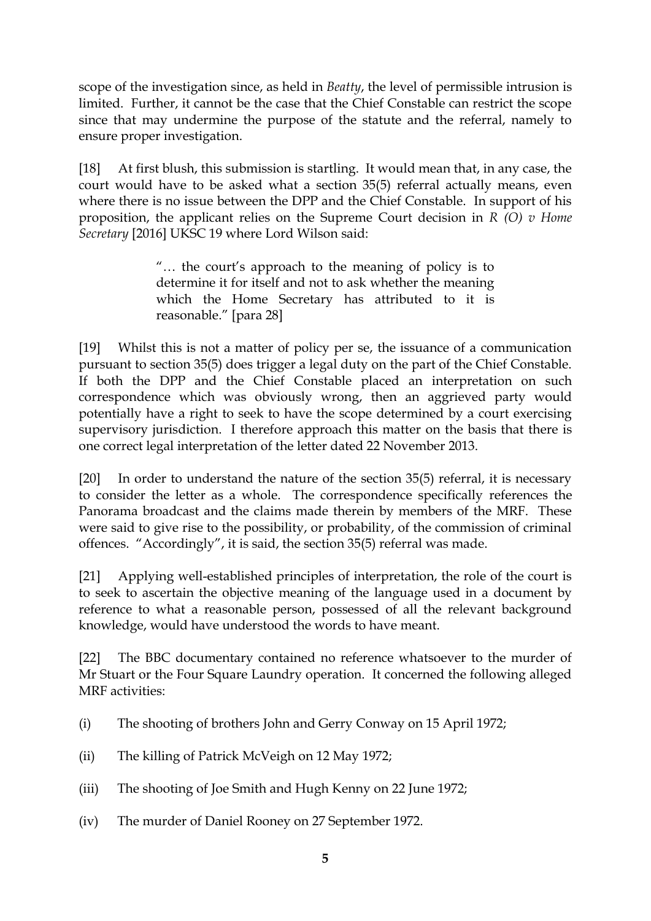scope of the investigation since, as held in *Beatty*, the level of permissible intrusion is limited. Further, it cannot be the case that the Chief Constable can restrict the scope since that may undermine the purpose of the statute and the referral, namely to ensure proper investigation.

[18] At first blush, this submission is startling. It would mean that, in any case, the court would have to be asked what a section 35(5) referral actually means, even where there is no issue between the DPP and the Chief Constable. In support of his proposition, the applicant relies on the Supreme Court decision in *R (O) v Home Secretary* [2016] UKSC 19 where Lord Wilson said:

> "… the court's approach to the meaning of policy is to determine it for itself and not to ask whether the meaning which the Home Secretary has attributed to it is reasonable." [para 28]

[19] Whilst this is not a matter of policy per se, the issuance of a communication pursuant to section 35(5) does trigger a legal duty on the part of the Chief Constable. If both the DPP and the Chief Constable placed an interpretation on such correspondence which was obviously wrong, then an aggrieved party would potentially have a right to seek to have the scope determined by a court exercising supervisory jurisdiction. I therefore approach this matter on the basis that there is one correct legal interpretation of the letter dated 22 November 2013.

[20] In order to understand the nature of the section 35(5) referral, it is necessary to consider the letter as a whole. The correspondence specifically references the Panorama broadcast and the claims made therein by members of the MRF. These were said to give rise to the possibility, or probability, of the commission of criminal offences. "Accordingly", it is said, the section 35(5) referral was made.

[21] Applying well-established principles of interpretation, the role of the court is to seek to ascertain the objective meaning of the language used in a document by reference to what a reasonable person, possessed of all the relevant background knowledge, would have understood the words to have meant.

[22] The BBC documentary contained no reference whatsoever to the murder of Mr Stuart or the Four Square Laundry operation. It concerned the following alleged MRF activities:

- (i) The shooting of brothers John and Gerry Conway on 15 April 1972;
- (ii) The killing of Patrick McVeigh on 12 May 1972;
- (iii) The shooting of Joe Smith and Hugh Kenny on 22 June 1972;
- (iv) The murder of Daniel Rooney on 27 September 1972.